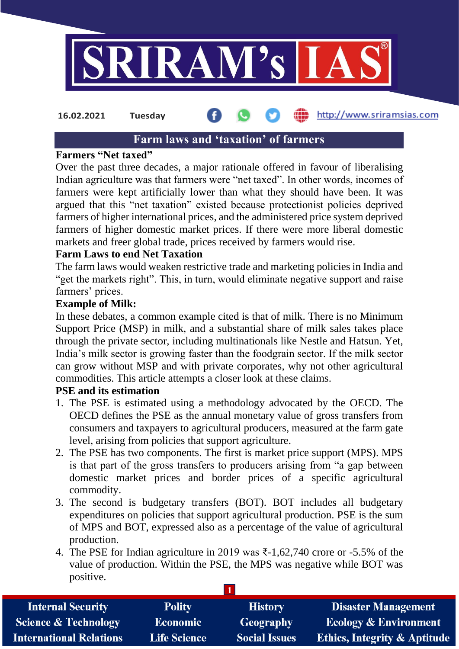

http://www.sriramsias.com **16.02.2021 Tuesday**

# **Farm laws and 'taxation' of farmers**

#### **Farmers "Net taxed"**

Over the past three decades, a major rationale offered in favour of liberalising Indian agriculture was that farmers were "net taxed". In other words, incomes of farmers were kept artificially lower than what they should have been. It was argued that this "net taxation" existed because protectionist policies deprived farmers of higher international prices, and the administered price system deprived farmers of higher domestic market prices. If there were more liberal domestic markets and freer global trade, prices received by farmers would rise.

### **Farm Laws to end Net Taxation**

The farm laws would weaken restrictive trade and marketing policies in India and "get the markets right". This, in turn, would eliminate negative support and raise farmers' prices.

#### **Example of Milk:**

In these debates, a common example cited is that of milk. There is no Minimum Support Price (MSP) in milk, and a substantial share of milk sales takes place through the private sector, including multinationals like Nestle and Hatsun. Yet, India's milk sector is growing faster than the foodgrain sector. If the milk sector can grow without MSP and with private corporates, why not other agricultural commodities. This article attempts a closer look at these claims.

#### **PSE and its estimation**

- 1. The PSE is estimated using a methodology advocated by the OECD. The OECD defines the PSE as the annual monetary value of gross transfers from consumers and taxpayers to agricultural producers, measured at the farm gate level, arising from policies that support agriculture.
- 2. The PSE has two components. The first is market price support (MPS). MPS is that part of the gross transfers to producers arising from "a gap between domestic market prices and border prices of a specific agricultural commodity.
- 3. The second is budgetary transfers (BOT). BOT includes all budgetary expenditures on policies that support agricultural production. PSE is the sum of MPS and BOT, expressed also as a percentage of the value of agricultural production.
- 4. The PSE for Indian agriculture in 2019 was ₹-1,62,740 crore or -5.5% of the value of production. Within the PSE, the MPS was negative while BOT was positive.

| <b>Internal Security</b>        | <b>Polity</b>       | <b>History</b>       | <b>Disaster Management</b>              |  |  |
|---------------------------------|---------------------|----------------------|-----------------------------------------|--|--|
| <b>Science &amp; Technology</b> | <b>Economic</b>     | Geography            | <b>Ecology &amp; Environment</b>        |  |  |
| <b>International Relations</b>  | <b>Life Science</b> | <b>Social Issues</b> | <b>Ethics, Integrity &amp; Aptitude</b> |  |  |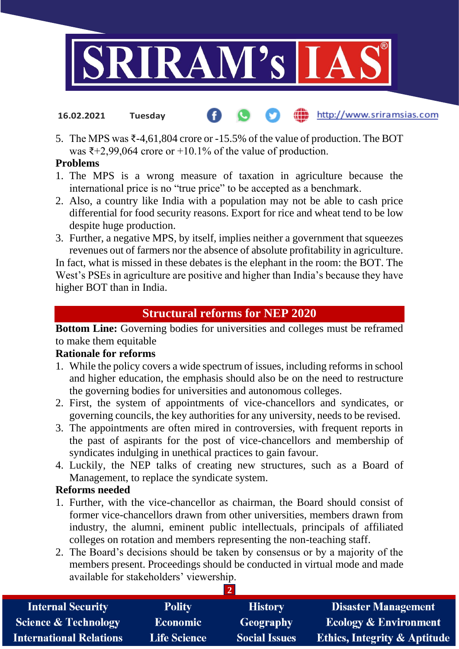

- (iii) http://www.sriramsias.com **16.02.2021 Tuesday**
- 5. The MPS was ₹-4,61,804 crore or -15.5% of the value of production. The BOT was  $\bar{x}$ +2,99,064 crore or +10.1% of the value of production.

### **Problems**

- 1. The MPS is a wrong measure of taxation in agriculture because the international price is no "true price" to be accepted as a benchmark.
- 2. Also, a country like India with a population may not be able to cash price differential for food security reasons. Export for rice and wheat tend to be low despite huge production.
- 3. Further, a negative MPS, by itself, implies neither a government that squeezes revenues out of farmers nor the absence of absolute profitability in agriculture.

In fact, what is missed in these debates is the elephant in the room: the BOT. The West's PSEs in agriculture are positive and higher than India's because they have higher BOT than in India.

# **Structural reforms for NEP 2020**

**Bottom Line:** Governing bodies for universities and colleges must be reframed to make them equitable

# **Rationale for reforms**

- 1. While the policy covers a wide spectrum of issues, including reforms in school and higher education, the emphasis should also be on the need to restructure the governing bodies for universities and autonomous colleges.
- 2. First, the system of appointments of vice-chancellors and syndicates, or governing councils, the key authorities for any university, needs to be revised.
- 3. The appointments are often mired in controversies, with frequent reports in the past of aspirants for the post of vice-chancellors and membership of syndicates indulging in unethical practices to gain favour.
- 4. Luckily, the NEP talks of creating new structures, such as a Board of Management, to replace the syndicate system.

# **Reforms needed**

- 1. Further, with the vice-chancellor as chairman, the Board should consist of former vice-chancellors drawn from other universities, members drawn from industry, the alumni, eminent public intellectuals, principals of affiliated colleges on rotation and members representing the non-teaching staff.
- 2. The Board's decisions should be taken by consensus or by a majority of the members present. Proceedings should be conducted in virtual mode and made available for stakeholders' viewership.

 $\overline{2}$ 

| <b>Internal Security</b>        | <b>Polity</b>       | <b>History</b>       | <b>Disaster Management</b>              |
|---------------------------------|---------------------|----------------------|-----------------------------------------|
| <b>Science &amp; Technology</b> | <b>Economic</b>     | Geography            | <b>Ecology &amp; Environment</b>        |
| <b>International Relations</b>  | <b>Life Science</b> | <b>Social Issues</b> | <b>Ethics, Integrity &amp; Aptitude</b> |